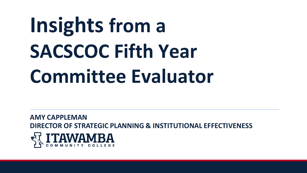# **Insights from a SACSCOC Fifth Year Committee Evaluator**

**AMY CAPPLEMAN DIRECTOR OF STRATEGIC PLANNING & INSTITUTIONAL EFFECTIVENESS**

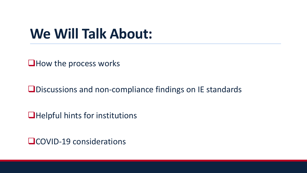#### **We Will Talk About:**

❑How the process works

❑Discussions and non-compliance findings on IE standards

❑Helpful hints for institutions

❑COVID-19 considerations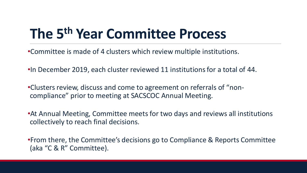#### **The 5th Year Committee Process**

•Committee is made of 4 clusters which review multiple institutions.

•In December 2019, each cluster reviewed 11 institutions for a total of 44.

•Clusters review, discuss and come to agreement on referrals of "noncompliance" prior to meeting at SACSCOC Annual Meeting.

•At Annual Meeting, Committee meets for two days and reviews all institutions collectively to reach final decisions.

•From there, the Committee's decisions go to Compliance & Reports Committee (aka "C & R" Committee).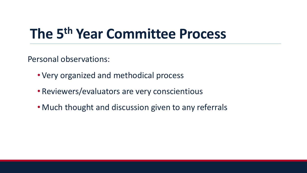#### **The 5th Year Committee Process**

Personal observations:

- Very organized and methodical process
- Reviewers/evaluators are very conscientious
- Much thought and discussion given to any referrals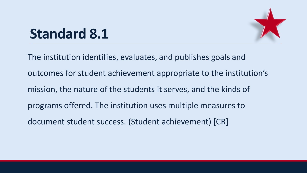# **Standard 8.1**

The institution identifies, evaluates, and publishes goals and outcomes for student achievement appropriate to the institution's mission, the nature of the students it serves, and the kinds of programs offered. The institution uses multiple measures to document student success. (Student achievement) [CR]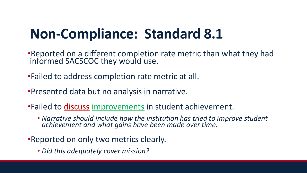## **Non-Compliance: Standard 8.1**

- •Reported on a different completion rate metric than what they had informed SACSCOC they would use.
- •Failed to address completion rate metric at all.
- •Presented data but no analysis in narrative.
- •Failed to discuss improvements in student achievement.
	- *Narrative should include how the institution has tried to improve student achievement and what gains have been made over time.*
- •Reported on only two metrics clearly.
	- *Did this adequately cover mission?*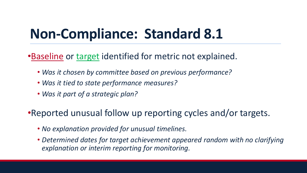#### **Non-Compliance: Standard 8.1**

•Baseline or target identified for metric not explained.

- *Was it chosen by committee based on previous performance?*
- *Was it tied to state performance measures?*
- *Was it part of a strategic plan?*

•Reported unusual follow up reporting cycles and/or targets.

- *No explanation provided for unusual timelines.*
- *Determined dates for target achievement appeared random with no clarifying explanation or interim reporting for monitoring.*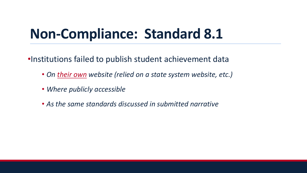#### **Non-Compliance: Standard 8.1**

•Institutions failed to publish student achievement data

- *On their own website (relied on a state system website, etc.)*
- *Where publicly accessible*
- *As the same standards discussed in submitted narrative*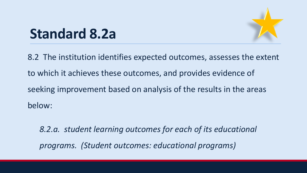

#### **Standard 8.2a**

8.2 The institution identifies expected outcomes, assesses the extent to which it achieves these outcomes, and provides evidence of seeking improvement based on analysis of the results in the areas below:

*8.2.a. student learning outcomes for each of its educational programs. (Student outcomes: educational programs)*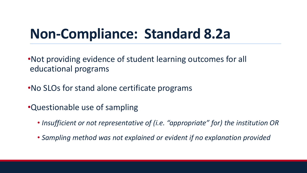#### **Non-Compliance: Standard 8.2a**

•Not providing evidence of student learning outcomes for all educational programs

- •No SLOs for stand alone certificate programs
- •Questionable use of sampling
	- *Insufficient or not representative of (i.e. "appropriate" for) the institution OR*
	- *Sampling method was not explained or evident if no explanation provided*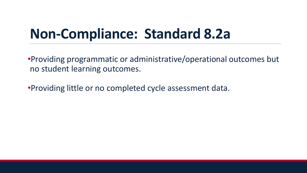#### **Non-Compliance: Standard 8.2a**

•Providing programmatic or administrative/operational outcomes but no student learning outcomes.

•Providing little or no completed cycle assessment data.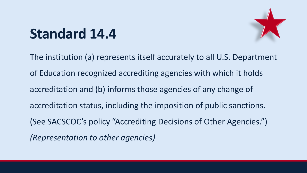

## **Standard 14.4**

The institution (a) represents itself accurately to all U.S. Department of Education recognized accrediting agencies with which it holds accreditation and (b) informs those agencies of any change of accreditation status, including the imposition of public sanctions. (See SACSCOC's policy "Accrediting Decisions of Other Agencies.") *(Representation to other agencies)*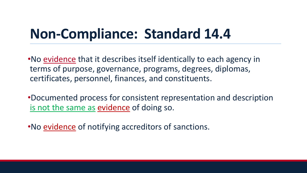#### **Non-Compliance: Standard 14.4**

•No evidence that it describes itself identically to each agency in terms of purpose, governance, programs, degrees, diplomas, certificates, personnel, finances, and constituents.

•Documented process for consistent representation and description is not the same as evidence of doing so.

•No evidence of notifying accreditors of sanctions.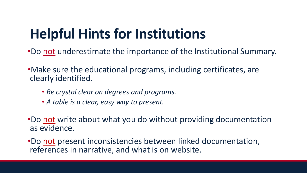## **Helpful Hints for Institutions**

- •Do not underestimate the importance of the Institutional Summary.
- •Make sure the educational programs, including certificates, are clearly identified.
	- *Be crystal clear on degrees and programs.*
	- *A table is a clear, easy way to present.*
- •Do not write about what you do without providing documentation as evidence.
- •Do not present inconsistencies between linked documentation, references in narrative, and what is on website.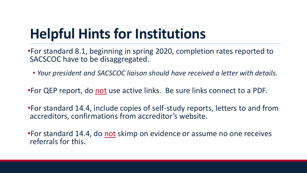## **Helpful Hints for Institutions**

•For standard 8.1, beginning in spring 2020, completion rates reported to SACSCOC have to be disaggregated.

• *Your president and SACSCOC liaison should have received a letter with details.*

•For QEP report, do not use active links. Be sure links connect to a PDF.

•For standard 14.4, include copies of self-study reports, letters to and from accreditors, confirmations from accreditor's website.

•For standard 14.4, do not skimp on evidence or assume no one receives referrals for this.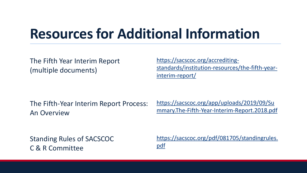#### **Resources for Additional Information**

The Fifth Year Interim Report (multiple documents)

https://sacscoc.org/accrediting[standards/institution-resources/the-fifth-year](https://sacscoc.org/accrediting-standards/institution-resources/the-fifth-year-interim-report/)interim-report/

The Fifth-Year Interim Report Process: An Overview

https://sacscoc.org/app/uploads/2019/09/Su [mmary.The-Fifth-Year-Interim-Report.2018.pdf](https://sacscoc.org/app/uploads/2019/09/Summary.The-Fifth-Year-Interim-Report.2018.pdf)

Standing Rules of SACSCOC C & R Committee

[https://sacscoc.org/pdf/081705/standingrules.](https://sacscoc.org/pdf/081705/standingrules.pdf) pdf